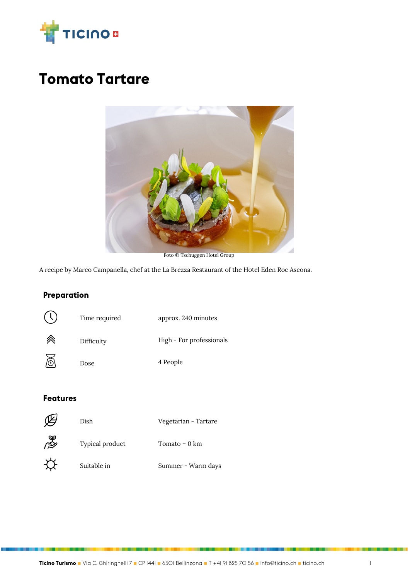

# **Tomato Tartare**



Foto © Tschuggen Hotel Group

A recipe by Marco Campanella, chef at the La Brezza Restaurant of the Hotel Eden Roc Ascona.

### **Preparation**



#### **Features**

|   | Dish            | Vegetarian - Tartare |
|---|-----------------|----------------------|
| ⇘ | Typical product | Tomato – 0 km        |
|   | Suitable in     | Summer - Warm days   |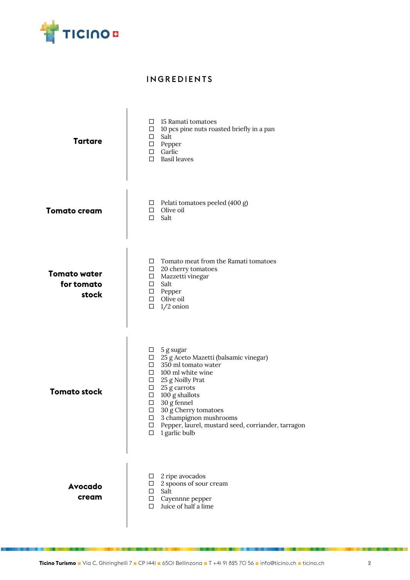

#### INGREDIENTS